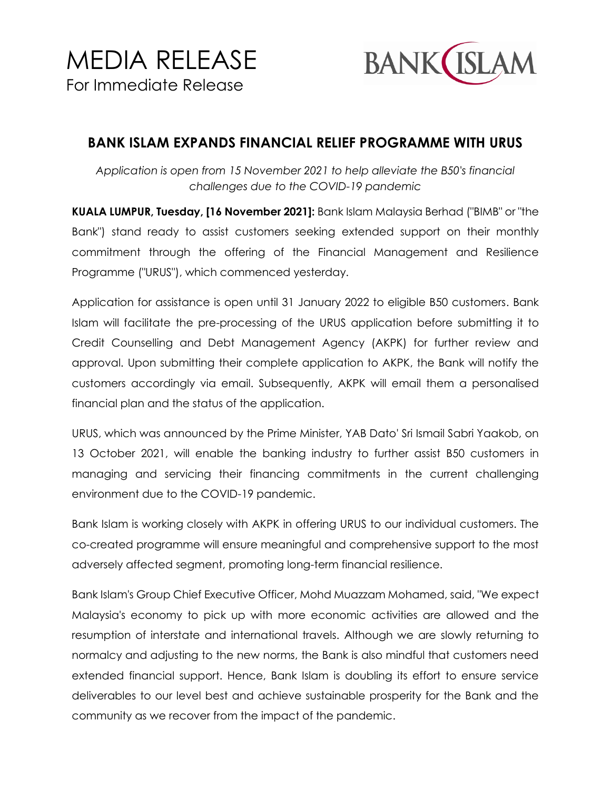

## **BANK ISLAM EXPANDS FINANCIAL RELIEF PROGRAMME WITH URUS**

*Application is open from 15 November 2021 to help alleviate the B50's financial challenges due to the COVID-19 pandemic*

**KUALA LUMPUR, Tuesday, [16 November 2021]:** Bank Islam Malaysia Berhad ("BIMB" or "the Bank") stand ready to assist customers seeking extended support on their monthly commitment through the offering of the Financial Management and Resilience Programme ("URUS"), which commenced yesterday.

Application for assistance is open until 31 January 2022 to eligible B50 customers. Bank Islam will facilitate the pre-processing of the URUS application before submitting it to Credit Counselling and Debt Management Agency (AKPK) for further review and approval. Upon submitting their complete application to AKPK, the Bank will notify the customers accordingly via email. Subsequently, AKPK will email them a personalised financial plan and the status of the application.

URUS, which was announced by the Prime Minister, YAB Dato' Sri Ismail Sabri Yaakob, on 13 October 2021, will enable the banking industry to further assist B50 customers in managing and servicing their financing commitments in the current challenging environment due to the COVID-19 pandemic.

Bank Islam is working closely with AKPK in offering URUS to our individual customers. The co-created programme will ensure meaningful and comprehensive support to the most adversely affected segment, promoting long-term financial resilience.

Bank Islam's Group Chief Executive Officer, Mohd Muazzam Mohamed, said, "We expect Malaysia's economy to pick up with more economic activities are allowed and the resumption of interstate and international travels. Although we are slowly returning to normalcy and adjusting to the new norms, the Bank is also mindful that customers need extended financial support. Hence, Bank Islam is doubling its effort to ensure service deliverables to our level best and achieve sustainable prosperity for the Bank and the community as we recover from the impact of the pandemic.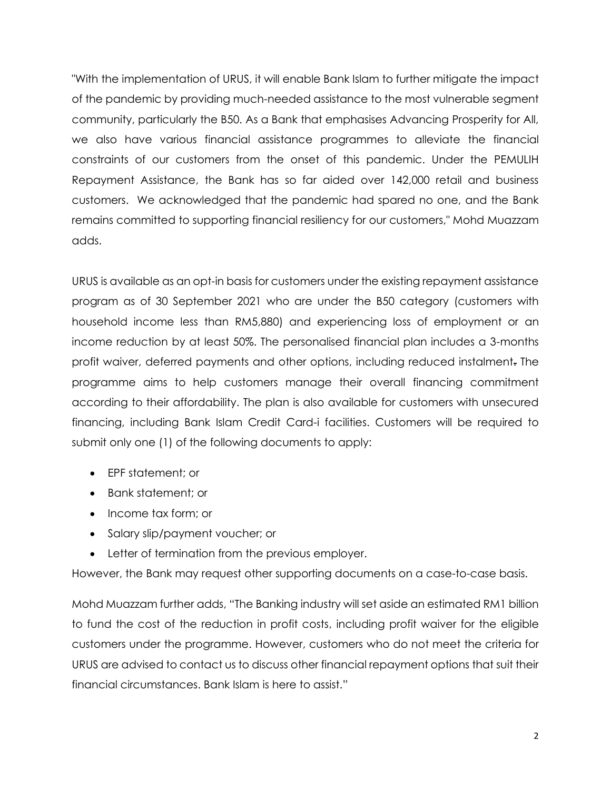"With the implementation of URUS, it will enable Bank Islam to further mitigate the impact of the pandemic by providing much-needed assistance to the most vulnerable segment community, particularly the B50. As a Bank that emphasises Advancing Prosperity for All, we also have various financial assistance programmes to alleviate the financial constraints of our customers from the onset of this pandemic. Under the PEMULIH Repayment Assistance, the Bank has so far aided over 142,000 retail and business customers. We acknowledged that the pandemic had spared no one, and the Bank remains committed to supporting financial resiliency for our customers," Mohd Muazzam adds.

URUS is available as an opt-in basis for customers under the existing repayment assistance program as of 30 September 2021 who are under the B50 category (customers with household income less than RM5,880) and experiencing loss of employment or an income reduction by at least 50%. The personalised financial plan includes a 3-months profit waiver, deferred payments and other options, including reduced instalment. The programme aims to help customers manage their overall financing commitment according to their affordability. The plan is also available for customers with unsecured financing, including Bank Islam Credit Card-i facilities. Customers will be required to submit only one (1) of the following documents to apply:

- EPF statement; or
- Bank statement; or
- Income tax form; or
- Salary slip/payment voucher; or
- Letter of termination from the previous employer.

However, the Bank may request other supporting documents on a case-to-case basis.

Mohd Muazzam further adds, "The Banking industry will set aside an estimated RM1 billion to fund the cost of the reduction in profit costs, including profit waiver for the eligible customers under the programme. However, customers who do not meet the criteria for URUS are advised to contact us to discuss other financial repayment options that suit their financial circumstances. Bank Islam is here to assist."